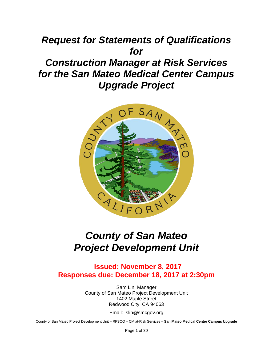# *Request for Statements of Qualifications for*

## *Construction Manager at Risk Services for the San Mateo Medical Center Campus Upgrade Project*



## *County of San Mateo Project Development Unit*

**Issued: November 8, 2017 Responses due: December 18, 2017 at 2:30pm**

> Sam Lin, Manager County of San Mateo Project Development Unit 1402 Maple Street Redwood City, CA 94063

> > Email: slin@smcgov.org

County of San Mateo Project Development Unit – RFSOQ – CM at-Risk Services – **San Mateo Medical Center Campus Upgrade**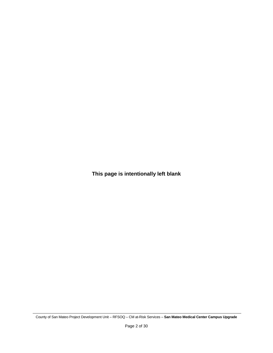**This page is intentionally left blank**

County of San Mateo Project Development Unit – RFSOQ – CM at-Risk Services – **San Mateo Medical Center Campus Upgrade**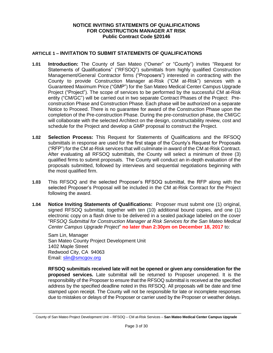#### **NOTICE INVITING STATEMENTS OF QUALIFICATIONS FOR CONSTRUCTION MANAGER AT RISK Public Contract Code §20146**

#### **ARTICLE 1 – INVITATION TO SUBMIT STATEMENTS OF QUALIFICATIONS**

- **1.01 Introduction:** The County of San Mateo ("Owner" or "County") invites "Request for Statements of Qualifications" ("RFSOQ") submittals from highly qualified Construction Management/General Contractor firms ("Proposers") interested in contracting with the County to provide Construction Manager at-Risk ("CM at-Risk") services with a Guaranteed Maximum Price ("GMP") for the San Mateo Medical Center Campus Upgrade Project ("Project"). The scope of services to be performed by the successful CM at-Risk entity ("CM/GC") will be carried out in two separate Contract Phases of the Project: Preconstruction Phase and Construction Phase. Each phase will be authorized on a separate Notice to Proceed. There is no guarantee for award of the Construction Phase upon the completion of the Pre-construction Phase. During the pre-construction phase, the CM/GC will collaborate with the selected Architect on the design, constructability review, cost and schedule for the Project and develop a GMP proposal to construct the Project.
- **1.02 Selection Process:** This Request for Statements of Qualifications and the RFSOQ submittals in response are used for the first stage of the County's Request for Proposals ("RFP") for the CM at-Risk services that will culminate in award of the CM at-Risk Contract. After evaluating all RFSOQ submittals, the County will select a minimum of three (3) qualified firms to submit proposals. The County will conduct an in-depth evaluation of the proposals submitted, followed by interviews and sequential negotiations beginning with the most qualified firm.
- **1.03** This RFSOQ and the selected Proposer's RFSOQ submittal, the RFP along with the selected Proposer's Proposal will be included in the CM at-Risk Contract for the Project following the award.
- **1.04 Notice Inviting Statements of Qualifications:** Proposer must submit one (1) original, signed RFSOQ submittal, together with ten (10) additional bound copies, and one (1) electronic copy on a flash drive to be delivered in a sealed package labeled on the cover "RF*SOQ Submittal for Construction Manager at Risk Services for the San Mateo Medical Center Campus Upgrade Project*" **no later than 2:30pm on December 18, 2017** to:

Sam Lin, Manager San Mateo County Project Development Unit 1402 Maple Street Redwood City, CA 94063 Email: [slin@smcgov.org](mailto:slin@smcgov.org)

**RFSOQ submittals received late will not be opened or given any consideration for the proposed services.** Late submittal will be returned to Proposer unopened. It is the responsibility of the Proposer to ensure that the RFSOQ submittal is received at the specified address by the specified deadline noted in this RFSOQ. All proposals will be date and time stamped upon receipt. The County will not be responsible for late or incomplete responses due to mistakes or delays of the Proposer or carrier used by the Proposer or weather delays.

County of San Mateo Project Development Unit – RFSOQ – CM at-Risk Services – **San Mateo Medical Center Campus Upgrade**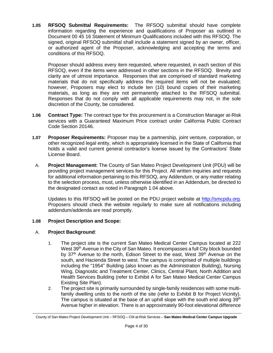**1.05 RFSOQ Submittal Requirements:** The RFSOQ submittal should have complete information regarding the experience and qualifications of Proposer as outlined in Document 00 45 16 Statement of Minimum Qualifications included with this RFSOQ. The signed, original RFSOQ submittal shall include a statement signed by an owner, officer, or authorized agent of the Proposer, acknowledging and accepting the terms and conditions of this RFSOQ.

Proposer should address every item requested, where requested, in each section of this RFSOQ, even if the items were addressed in other sections in the RFSOQ. Brevity and clarity are of utmost importance. Responses that are comprised of standard marketing materials that do not specifically address the required items will not be evaluated; however, Proposers may elect to include ten (10) bound copies of their marketing materials, as long as they are not permanently attached to the RFSOQ submittal. Responses that do not comply with all applicable requirements may not, in the sole discretion of the County, be considered.

- **1.06 Contract Type:** The contract type for this procurement is a Construction Manager at-Risk services with a Guaranteed Maximum Price contract under California Public Contract Code Section 20146.
- **1.07 Proposer Requirements:** Proposer may be a partnership, joint venture, corporation, or other recognized legal entity, which is appropriately licensed in the State of California that holds a valid and current general contractor's license issued by the Contractors' State License Board.
	- A. **Project Management:** The County of San Mateo Project Development Unit (PDU) will be providing project management services for this Project. All written inquiries and requests for additional information pertaining to this RFSOQ, any Addendum, or any matter relating to the selection process, must, unless otherwise identified in an Addendum, be directed to the designated contact as noted in Paragraph 1.04 above.

Updates to this RFSOQ will be posted on the PDU project website at [http://smcpdu.org.](http://smcpdu.org/) Proposers should check the website regularly to make sure all notifications including addendum/addenda are read promptly.

## **1.08 Project Description and Scope:**

## A. **Project Background**:

- 1. The project site is the current San Mateo Medical Center Campus located at 222 West 39<sup>th</sup> Avenue in the City of San Mateo. It encompasses a full City block bounded by  $37<sup>th</sup>$  Avenue to the north, Edison Street to the east, West  $39<sup>th</sup>$  Avenue on the south, and Hacienda Street to west. The campus is comprised of multiple buildings including the "1954" Building (also known as the Administration Building), Nursing Wing, Diagnostic and Treatment Center, Clinics, Central Plant, North Addition and Health Services Building (refer to Exhibit A for San Mateo Medical Center Campus Existing Site Plan).
- 2. The project site is primarily surrounded by single-family residences with some multifamily dwelling units to the north of the site (refer to Exhibit B for Project Vicinity). The campus is situated at the base of an uphill slope with the south end along  $39<sup>th</sup>$ Avenue higher in elevation. There is an approximately 90-foot elevational difference

County of San Mateo Project Development Unit – RFSOQ – CM at-Risk Services – **San Mateo Medical Center Campus Upgrade**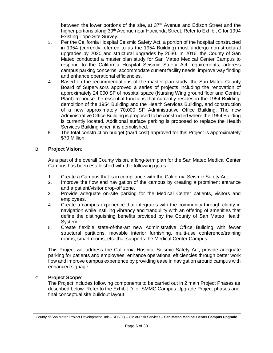between the lower portions of the site, at  $37<sup>th</sup>$  Avenue and Edison Street and the higher portions along 39<sup>th</sup> Avenue near Hacienda Street. Refer to Exhibit C for 1994 Existing Topo Site Survey.

- 3. Per the California Hospital Seismic Safety Act, a portion of the hospital constructed in 1954 (currently referred to as the 1954 Building) must undergo non-structural upgrades by 2020 and structural upgrades by 2030. In 2016, the County of San Mateo conducted a master plan study for San Mateo Medical Center Campus to respond to the California Hospital Seismic Safety Act requirements, address campus parking concerns, accommodate current facility needs, improve way finding and enhance operational efficiencies.
- 4. Based on the recommendations of the master plan study, the San Mateo County Board of Supervisors approved a series of projects including the renovation of approximately 24,000 SF of hospital space (Nursing Wing ground floor and Central Plant) to house the essential functions that currently resides in the 1954 Building, demolition of the 1954 Building and the Health Services Building, and construction of a new approximately 70,000 SF Administrative Office Building. The new Administrative Office Building is proposed to be constructed where the 1954 Building is currently located. Additional surface parking is proposed to replace the Health Services Building when it is demolished.
- 5. The total construction budget (hard cost) approved for this Project is approximately \$70 Million.

#### B. **Project Vision**:

As a part of the overall County vision, a long-term plan for the San Mateo Medical Center Campus has been established with the following goals:

- 1. Create a Campus that is in compliance with the California Seismic Safety Act.
- 2. Improve the flow and navigation of the campus by creating a prominent entrance and a patient/visitor drop-off zone.
- 3. Provide adequate on-site parking for the Medical Center patients, visitors and employees.
- 4. Create a campus experience that integrates with the community through clarity in navigation while instilling vibrancy and tranquility with an offering of amenities that define the distinguishing benefits provided by the County of San Mateo Health System.
- 5. Create flexible state-of-the-art new Administrative Office Building with fewer structural partitions, movable interior furnishing, multi-use conference/training rooms, smart rooms, etc. that supports the Medical Center Campus.

This Project will address the California Hospital Seismic Safety Act, provide adequate parking for patients and employees, enhance operational efficiencies through better work flow and improve campus experience by providing ease in navigation around campus with enhanced signage.

#### C. **Project Scope**:

The Project includes following components to be carried out in 2 main Project Phases as described below. Refer to the Exhibit D for SMMC Campus Upgrade Project phases and final conceptual site buildout layout:

County of San Mateo Project Development Unit – RFSOQ – CM at-Risk Services – **San Mateo Medical Center Campus Upgrade**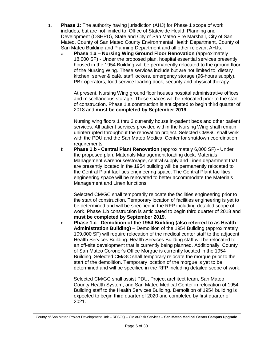- 1. **Phase 1:** The authority having jurisdiction (AHJ) for Phase 1 scope of work includes, but are not limited to, Office of Statewide Health Planning and Development (OSHPD), State and City of San Mateo Fire Marshall, City of San Mateo, County of San Mateo County Environmental Health Department, County of San Mateo Building and Planning Department and all other relevant AHJs.
	- a. **Phase 1.a – Nursing Wing Ground Floor Renovation** (approximately 18,000 SF) - Under the proposed plan, hospital essential services presently housed in the 1954 Building will be permanently relocated to the ground floor of the Nursing Wing. These services include but are not limited to, dietary kitchen, server & café, staff lockers, emergency storage (96-hours supply), PBx operators, food service loading dock, security and physical therapy.

At present, Nursing Wing ground floor houses hospital administrative offices and miscellaneous storage. These spaces will be relocated prior to the start of construction. Phase 1.a construction is anticipated to begin third quarter of 2018 and **must be completed by September 2019.**

Nursing wing floors 1 thru 3 currently house in-patient beds and other patient services. All patient services provided within the Nursing Wing shall remain uninterrupted throughout the renovation project. Selected CM/GC shall work with the PDU and the San Mateo Medical Center for shutdown coordination requirements.

b. **Phase 1.b - Central Plant Renovation** (approximately 6,000 SF) - Under the proposed plan, Materials Management loading dock, Materials Management warehouse/storage, central supply and Linen department that are presently located in the 1954 building will be permanently relocated to the Central Plant facilities engineering space. The Central Plant facilities engineering space will be renovated to better accommodate the Materials Management and Linen functions.

Selected CM/GC shall temporarily relocate the facilities engineering prior to the start of construction. Temporary location of facilities engineering is yet to be determined and will be specified in the RFP including detailed scope of work. Phase 1.b construction is anticipated to begin third quarter of 2018 and **must be completed by September 2019.**

c. **Phase 1.c - Demolition of the 1954 Building (also referred to as Health Administration Building)** – Demolition of the 1954 Building (approximately 109,000 SF) will require relocation of the medical center staff to the adjacent Health Services Building. Health Services Building staff will be relocated to an off-site development that is currently being planned. Additionally, County of San Mateo Coroner's Office Morgue is currently located in the 1954 Building. Selected CM/GC shall temporary relocate the morgue prior to the start of the demolition. Temporary location of the morgue is yet to be determined and will be specified in the RFP including detailed scope of work.

Selected CM/GC shall assist PDU, Project architect team, San Mateo County Health System, and San Mateo Medical Center in relocation of 1954 Building staff to the Health Services Building. Demolition of 1954 building is expected to begin third quarter of 2020 and completed by first quarter of 2021.

County of San Mateo Project Development Unit – RFSOQ – CM at-Risk Services – **San Mateo Medical Center Campus Upgrade**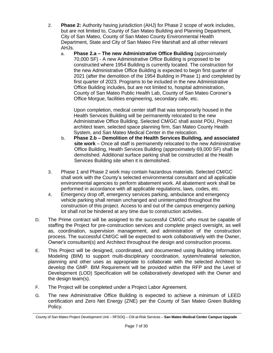- 2. **Phase 2:** Authority having jurisdiction (AHJ) for Phase 2 scope of work includes, but are not limited to, County of San Mateo Building and Planning Department, City of San Mateo, County of San Mateo County Environmental Health Department, State and City of San Mateo Fire Marshall and all other relevant AHJs.
	- a. **Phase 2.a – The new Administrative Office Building** (approximately 70,000 SF) - A new Administrative Office Building is proposed to be constructed where 1954 Building is currently located. The construction for the new Administrative Office Building is expected to begin first quarter of 2021 (after the demolition of the 1954 Building in Phase 1) and completed by first quarter of 2023. Programs to be included in the new Administrative Office Building includes, but are not limited to, hospital administration, County of San Mateo Public Health Lab, County of San Mateo Coroner's Office Morgue, facilities engineering, secondary cafe, etc.

Upon completion, medical center staff that was temporarily housed in the Health Services Building will be permanently relocated to the new Administrative Office Building. Selected CM/GC shall assist PDU, Project architect team, selected space planning firm, San Mateo County Health System, and San Mateo Medical Center in the relocation.

- b. **Phase 2.b – Demolition of the Health Services Building, and associated site work** – Once all staff is permanently relocated to the new Administrative Office Building, Health Services Building (approximately 69,000 SF) shall be demolished. Additional surface parking shall be constructed at the Health Services Building site when it is demolished.
- 3. Phase 1 and Phase 2 work may contain hazardous materials. Selected CM/GC shall work with the County's selected environmental consultant and all applicable environmental agencies to perform abatement work. All abatement work shall be performed in accordance with all applicable regulations, laws, codes, etc.
- 4. Emergency drop off, emergency services parking, ambulance and emergency vehicle parking shall remain unchanged and uninterrupted throughout the construction of this project. Access to and out of the campus emergency parking lot shall not be hindered at any time due to construction activities.
- D. The Prime contract will be assigned to the successful CM/GC who must be capable of staffing the Project for pre-construction services and complete project oversight, as well as, coordination, supervision management, and administration of the construction process. The successful CM/GC will be expected to work collaboratively with the Owner, Owner's consultant(s) and Architect throughout the design and construction process.
- E. This Project will be designed, coordinated, and documented using Building Information Modeling (BIM) to support multi-disciplinary coordination, system/material selection, planning and other uses as appropriate to collaborate with the selected Architect to develop the GMP. BIM Requirement will be provided within the RFP and the Level of Development (LOD) Specification will be collaboratively developed with the Owner and the design team(s).
- F. The Project will be completed under a Project Labor Agreement.
- G. The new Administrative Office Building is expected to achieve a minimum of LEED certification and Zero Net Energy (ZNE) per the County of San Mateo Green Building Policy.

County of San Mateo Project Development Unit – RFSOQ – CM at-Risk Services – **San Mateo Medical Center Campus Upgrade**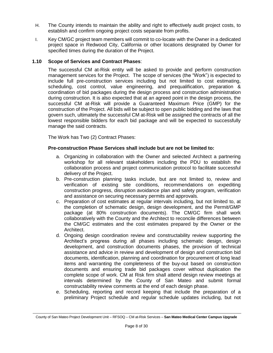- H. The County intends to maintain the ability and right to effectively audit project costs, to establish and confirm ongoing project costs separate from profits.
- I. Key CM/GC project team members will commit to co-locate with the Owner in a dedicated project space in Redwood City, California or other locations designated by Owner for specified times during the duration of the Project.

#### **1.10 Scope of Services and Contract Phases**:

The successful CM at-Risk entity will be asked to provide and perform construction management services for the Project. The scope of services (the "Work") is expected to include full pre-construction services including but not limited to cost estimating, scheduling, cost control, value engineering, and prequalification, preparation & coordination of bid packages during the design process and construction administration during construction. It is also expected that at an agreed point in the design process, the successful CM at-Risk will provide a Guaranteed Maximum Price (GMP) for the construction of the Project. All bids will be subject to open public bidding and the laws that govern such, ultimately the successful CM at-Risk will be assigned the contracts of all the lowest responsible bidders for each bid package and will be expected to successfully manage the said contracts.

The Work has Two (2) Contract Phases:

#### **Pre-construction Phase Services shall include but are not be limited to:**

- a. Organizing in collaboration with the Owner and selected Architect a partnering workshop for all relevant stakeholders including the PDU to establish the collaboration process and project communication protocol to facilitate successful delivery of the Project.
- b. Pre-construction planning tasks include, but are not limited to, review and verification of existing site conditions, recommendations on expediting construction progress, disruption avoidance plan and safety program, verification and assistance on securing necessary permits and approvals.
- c. Preparation of cost estimates at regular intervals including, but not limited to, at the completion of schematic design, design development, and the Permit/GMP package (at 80% construction documents). The CM/GC firm shall work collaboratively with the County and the Architect to reconcile differences between the CM/GC estimates and the cost estimates prepared by the Owner or the Architect.
- d. Ongoing design coordination review and constructability review supporting the Architect's progress during all phases including schematic design, design development, and construction documents phases, the provision of technical assistance and advice in review and development of design and construction bid documents, identification, planning and coordination for procurement of long lead items and warranting the completeness of the buy-out based on construction documents and ensuring trade bid packages cover without duplication the complete scope of work. CM at Risk firm shall attend design review meetings at intervals determined by the County of San Mateo and submit formal constructability review comments at the end of each design phase.
- e. Scheduling, reporting and record keeping that include the preparation of a preliminary Project schedule and regular schedule updates including, but not

County of San Mateo Project Development Unit – RFSOQ – CM at-Risk Services – **San Mateo Medical Center Campus Upgrade**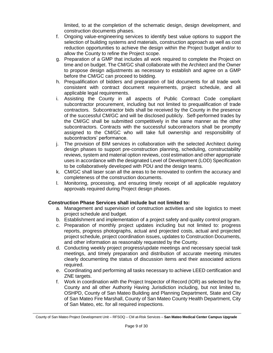limited, to at the completion of the schematic design, design development, and construction documents phases.

- f. Ongoing value-engineering services to identify best value options to support the selection of building systems and materials, construction approach as well as cost reduction opportunities to achieve the design within the Project budget and/or to allow the County to refine the Project scope.
- g. Preparation of a GMP that includes all work required to complete the Project on time and on budget. The CM/GC shall collaborate with the Architect and the Owner to propose design adjustments as necessary to establish and agree on a GMP before the CM/GC can proceed to bidding.
- h. Prequalification of bidders and preparation of bid documents for all trade work consistent with contract document requirements, project schedule, and all applicable legal requirements.
- i. Assisting the County in all aspects of Public Contract Code compliant subcontractor procurement, including but not limited to prequalification of trade contractors. Subcontractor bids shall be received by the County in the presence of the successful CM/GC and will be disclosed publicly. Self-performed trades by the CM/GC shall be submitted competitively in the same manner as the other subcontractors. Contracts with the successful subcontractors shall be promptly assigned to the CM/GC who will take full ownership and responsibility of subcontractors' performance.
- j. The provision of BIM services in collaboration with the selected Architect during design phases to support pre-construction planning, scheduling, constructability reviews, system and material option reviews, cost estimation and other appropriate uses in accordance with the designated Level of Development (LOD) Specification to be collaboratively developed with PDU and the design teams.
- k. CM/GC shall laser scan all the areas to be renovated to confirm the accuracy and completeness of the construction documents.
- l. Monitoring, processing, and ensuring timely receipt of all applicable regulatory approvals required during Project design phases.

## **Construction Phase Services shall include but not limited to:**

- a. Management and supervision of construction activities and site logistics to meet project schedule and budget.
- b. Establishment and implementation of a project safety and quality control program.
- c. Preparation of monthly project updates including but not limited to: progress reports, progress photographs, actual and projected costs, actual and projected project schedule, project coordination issues, updates to Construction Documents, and other information as reasonably requested by the County.
- d. Conducting weekly project progress/update meetings and necessary special task meetings, and timely preparation and distribution of accurate meeting minutes clearly documenting the status of discussion items and their associated actions required.
- e. Coordinating and performing all tasks necessary to achieve LEED certification and ZNE targets.
- f. Work in coordination with the Project Inspector of Record (IOR) as selected by the County and all other Authority Having Jurisdiction including, but not limited to, OSHPD, County of San Mateo Building and Planning Department, State and City of San Mateo Fire Marshall, County of San Mateo County Health Department, City of San Mateo, etc. for all required inspections.

County of San Mateo Project Development Unit – RFSOQ – CM at-Risk Services – **San Mateo Medical Center Campus Upgrade**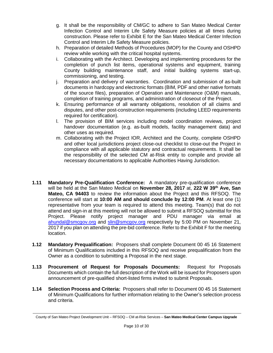- g. It shall be the responsibility of CM/GC to adhere to San Mateo Medical Center Infection Control and Interim Life Safety Measure policies at all times during construction. Please refer to Exhibit E for the San Mateo Medical Center Infection Control and Interim Life Safety Measure policies.
- h. Preparation of detailed Methods of Procedures (MOP) for the County and OSHPD review while working with the critical hospital systems.
- i. Collaborating with the Architect. Developing and implementing procedures for the completion of punch list items, operational systems and equipment, training County building maintenance staff, and initial building systems start-up, commissioning, and testing.
- j. Preparation and delivery of warranties. Coordination and submission of as-built documents in hardcopy and electronic formats (BIM, PDF and other native formats of the source files), preparation of Operation and Maintenance (O&M) manuals, completion of training programs, and administration of closeout of the Project.
- k. Ensuring performance of all warranty obligations, resolution of all claims and disputes, and other post-construction requirements (including LEED requirements required for certification).
- l. The provision of BIM services including model coordination reviews, project handover documentation (e.g. as-built models, facility management data) and other uses as required.
- m. Collaborating with the Project IOR, Architect and the County, complete OSHPD and other local jurisdictions project close-out checklist to close-out the Project in compliance with all applicable statutory and contractual requirements. It shall be the responsibility of the selected CM at-Risk entity to compile and provide all necessary documentations to applicable Authorities Having Jurisdiction.
- **1.11 Mandatory Pre-Qualification Conference:** A mandatory pre-qualification conference will be held at the San Mateo Medical on **November 28, 2017** at, **222 W 39th Ave, San Mateo, CA 94403** to review the information about the Project and this RFSOQ. The conference will start at **10:00 AM and should conclude by 12:00 PM**. At least one (1) representative from your team is required to attend this meeting. Team(s) that do not attend and sign-in at this meeting will not be allowed to submit a RFSOQ submittal for this Project. Please notify project manager and PDU manager via email at [ahundal@smcgov.org](mailto:ahundal@smcgov.org) and [slin@smcgov.org](mailto:slin@smcgov.org) respectively by 5:00 PM on November 21, 2017 if you plan on attending the pre-bid conference. Refer to the Exhibit F for the meeting location.
- **1.12 Mandatory Prequalification:** Proposers shall complete Document 00 45 16 Statement of Minimum Qualifications included in this RFSOQ and receive prequalification from the Owner as a condition to submitting a Proposal in the next stage.
- **1.13 Procurement of Request for Proposals Documents:** Request for Proposals Documents which contain the full description of the Work will be issued for Proposers upon announcement of pre-qualified short-listed firms invited to submit Proposals.
- **1.14 Selection Process and Criteria:** Proposers shall refer to Document 00 45 16 Statement of Minimum Qualifications for further information relating to the Owner's selection process and criteria.

County of San Mateo Project Development Unit – RFSOQ – CM at-Risk Services – **San Mateo Medical Center Campus Upgrade**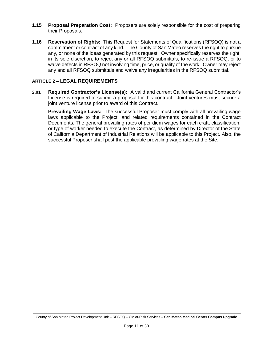- **1.15 Proposal Preparation Cost:** Proposers are solely responsible for the cost of preparing their Proposals.
- **1.16 Reservation of Rights:** This Request for Statements of Qualifications (RFSOQ) is not a commitment or contract of any kind. The County of San Mateo reserves the right to pursue any, or none of the ideas generated by this request. Owner specifically reserves the right, in its sole discretion, to reject any or all RFSOQ submittals, to re-issue a RFSOQ, or to waive defects in RFSOQ not involving time, price, or quality of the work. Owner may reject any and all RFSOQ submittals and waive any irregularities in the RFSOQ submittal.

### **ARTICLE 2 – LEGAL REQUIREMENTS**

**2.01 Required Contractor's License(s):** A valid and current California General Contractor's License is required to submit a proposal for this contract. Joint ventures must secure a joint venture license prior to award of this Contract.

**Prevailing Wage Laws:** The successful Proposer must comply with all prevailing wage laws applicable to the Project, and related requirements contained in the Contract Documents. The general prevailing rates of per diem wages for each craft, classification, or type of worker needed to execute the Contract, as determined by Director of the State of California Department of Industrial Relations will be applicable to this Project. Also, the successful Proposer shall post the applicable prevailing wage rates at the Site.

County of San Mateo Project Development Unit – RFSOQ – CM at-Risk Services – **San Mateo Medical Center Campus Upgrade**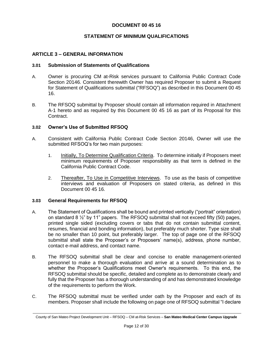#### **DOCUMENT 00 45 16**

#### **STATEMENT OF MINIMUM QUALIFICATIONS**

#### **ARTICLE 3 – GENERAL INFORMATION**

#### **3.01 Submission of Statements of Qualifications**

- A. Owner is procuring CM at-Risk services pursuant to California Public Contract Code Section 20146. Consistent therewith Owner has required Proposer to submit a Request for Statement of Qualifications submittal ("RFSOQ") as described in this Document 00 45 16.
- B. The RFSOQ submittal by Proposer should contain all information required in Attachment A-1 hereto and as required by this Document 00 45 16 as part of its Proposal for this Contract.

#### **3.02 Owner's Use of Submitted RFSOQ**

- A. Consistent with California Public Contract Code Section 20146, Owner will use the submitted RFSOQ's for two main purposes:
	- 1. Initially, To Determine Qualification Criteria. To determine initially if Proposers meet minimum requirements of Proposer responsibility as that term is defined in the California Public Contract Code.
	- 2. Thereafter, To Use in Competitive Interviews. To use as the basis of competitive interviews and evaluation of Proposers on stated criteria, as defined in this Document 00 45 16.

#### **3.03 General Requirements for RFSOQ**

- A. The Statement of Qualifications shall be bound and printed vertically ("portrait" orientation) on standard 8  $\frac{1}{2}$ " by 11" papers. The RFSOQ submittal shall not exceed fifty (50) pages, printed single sided (excluding covers or tabs that do not contain submittal content, resumes, financial and bonding information), but preferably much shorter. Type size shall be no smaller than 10 point, but preferably larger. The top of page one of the RFSOQ submittal shall state the Proposer's or Proposers' name(s), address, phone number, contact e-mail address, and contact name.
- B. The RFSOQ submittal shall be clear and concise to enable management-oriented personnel to make a thorough evaluation and arrive at a sound determination as to whether the Proposer's Qualifications meet Owner's requirements. To this end, the RFSOQ submittal should be specific, detailed and complete as to demonstrate clearly and fully that the Proposer has a thorough understanding of and has demonstrated knowledge of the requirements to perform the Work.
- C. The RFSOQ submittal must be verified under oath by the Proposer and each of its members. Proposer shall include the following on page one of RFSOQ submittal "I declare

County of San Mateo Project Development Unit – RFSOQ – CM at-Risk Services – **San Mateo Medical Center Campus Upgrade**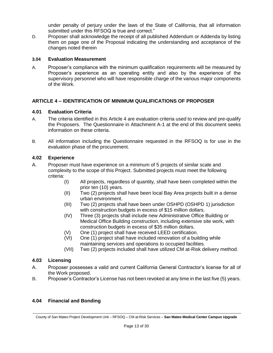under penalty of perjury under the laws of the State of California, that all information submitted under this RFSOQ is true and correct."

D. Proposer shall acknowledge the receipt of all published Addendum or Addenda by listing them on page one of the Proposal indicating the understanding and acceptance of the changes noted therein

#### **3.04 Evaluation Measurement**

A. Proposer's compliance with the minimum qualification requirements will be measured by Proposer's experience as an operating entity and also by the experience of the supervisory personnel who will have responsible charge of the various major components of the Work.

## **ARTICLE 4 – IDENTIFICATION OF MINIMUM QUALIFICATIONS OF PROPOSER**

#### **4.01 Evaluation Criteria**

- A. The criteria identified in this Article 4 are evaluation criteria used to review and pre-qualify the Proposers. The Questionnaire in Attachment A-1 at the end of this document seeks information on these criteria.
- B. All information including the Questionnaire requested in the RFSOQ is for use in the evaluation phase of the procurement.

#### **4.02 Experience**

- A. Proposer must have experience on a minimum of 5 projects of similar scale and complexity to the scope of this Project. Submitted projects must meet the following criteria:
	- (I) All projects, regardless of quantity, shall have been completed within the prior ten (10) years.
	- (II) Two (2) projects shall have been local Bay Area projects built in a dense urban environment.
	- (III) Two (2) projects shall have been under OSHPD (OSHPD 1) jurisdiction with construction budgets in excess of \$15 million dollars.
	- (IV) Three (3) projects shall include new Administrative Office Building or Medical Office Building construction, including extensive site work, with construction budgets in excess of \$35 million dollars.
	- (V) One (1) project shall have received LEED certification.
	- (VI) One (1) project shall have included renovation of a building while maintaining services and operations to occupied facilities.
	- (VII) Two (2) projects included shall have utilized CM at-Risk delivery method.

#### **4.03 Licensing**

- A. Proposer possesses a valid and current California General Contractor's license for all of the Work proposed.
- B. Proposer's Contractor's License has not been revoked at any time in the last five (5) years.

#### **4.04 Financial and Bonding**

County of San Mateo Project Development Unit – RFSOQ – CM at-Risk Services – **San Mateo Medical Center Campus Upgrade**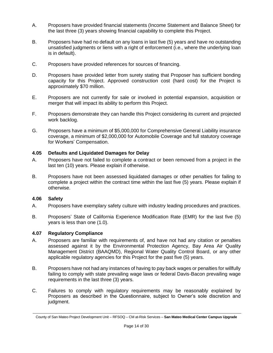- A. Proposers have provided financial statements (Income Statement and Balance Sheet) for the last three (3) years showing financial capability to complete this Project.
- B. Proposers have had no default on any loans in last five (5) years and have no outstanding unsatisfied judgments or liens with a right of enforcement (i.e., where the underlying loan is in default).
- C. Proposers have provided references for sources of financing.
- D. Proposers have provided letter from surety stating that Proposer has sufficient bonding capacity for this Project. Approved construction cost (hard cost) for the Project is approximately \$70 million.
- E. Proposers are not currently for sale or involved in potential expansion, acquisition or merger that will impact its ability to perform this Project.
- F. Proposers demonstrate they can handle this Project considering its current and projected work backlog.
- G. Proposers have a minimum of \$5,000,000 for Comprehensive General Liability insurance coverage, a minimum of \$2,000,000 for Automobile Coverage and full statutory coverage for Workers' Compensation.

#### **4.05 Defaults and Liquidated Damages for Delay**

- A. Proposers have not failed to complete a contract or been removed from a project in the last ten (10) years. Please explain if otherwise.
- B. Proposers have not been assessed liquidated damages or other penalties for failing to complete a project within the contract time within the last five (5) years. Please explain if otherwise.

#### **4.06 Safety**

- A. Proposers have exemplary safety culture with industry leading procedures and practices.
- B. Proposers' State of California Experience Modification Rate (EMR) for the last five (5) years is less than one (1.0).

#### **4.07 Regulatory Compliance**

- A. Proposers are familiar with requirements of, and have not had any citation or penalties assessed against it by the Environmental Protection Agency, Bay Area Air Quality Management District (BAAQMD), Regional Water Quality Control Board, or any other applicable regulatory agencies for this Project for the past five (5) years.
- B. Proposers have not had any instances of having to pay back wages or penalties for willfully failing to comply with state prevailing wage laws or federal Davis-Bacon prevailing wage requirements in the last three (3) years.
- C. Failures to comply with regulatory requirements may be reasonably explained by Proposers as described in the Questionnaire, subject to Owner's sole discretion and judgment.

County of San Mateo Project Development Unit – RFSOQ – CM at-Risk Services – **San Mateo Medical Center Campus Upgrade**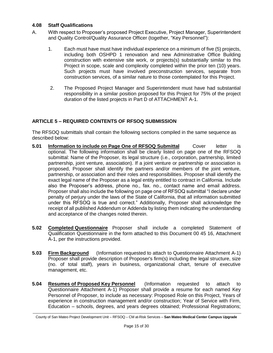#### **4.08 Staff Qualifications**

- A. With respect to Proposer's proposed Project Executive, Project Manager, Superintendent and Quality Control/Quality Assurance Officer (together, "Key Personnel"):
	- 1. Each must have must have individual experience on a minimum of five (5) projects, including both OSHPD 1 renovation and new Administrative Office Building construction with extensive site work, or projects(s) substantially similar to this Project in scope, scale and complexity completed within the prior ten (10) years. Such projects must have involved preconstruction services, separate from construction services, of a similar nature to those contemplated for this Project.
	- 2. The Proposed Project Manager and Superintendent must have had substantial responsibility in a similar position proposed for this Project for 75% of the project duration of the listed projects in Part D of ATTACHMENT A-1.

## **ARTICLE 5 – REQUIRED CONTENTS OF RFSOQ SUBMISSION**

The RFSOQ submittals shall contain the following sections compiled in the same sequence as described below:

- **5.01 Information to include on Page One of RFSOQ Submittal** Cover letter is optional. The following information shall be clearly listed on page one of the RFSOQ submittal: Name of the Proposer, its legal structure (i.e., corporation, partnership, limited partnership, joint venture, association). If a joint venture or partnership or association is proposed, Proposer shall identify the partners and/or members of the joint venture, partnership, or association and their roles and responsibilities. Proposer shall identify the exact legal name of the Proposer as a legal entity entitled to contract in California. Include also the Proposer's address, phone no., fax. no., contact name and email address. Proposer shall also include the following on page one of RFSOQ submittal "I declare under penalty of perjury under the laws of the State of California, that all information submitted under this RFSOQ is true and correct." Additionally, Proposer shall acknowledge the receipt of all published Addendum or Addenda by listing them indicating the understanding and acceptance of the changes noted therein.
- **5.02 Completed Questionnaire** Proposer shall include a completed Statement of Qualification Questionnaire in the form attached to this Document 00 45 16, Attachment A-1, per the instructions provided.
- **5.03 Firm Background** (Information requested to attach to Questionnaire Attachment A-1) Proposer shall provide description of Proposer's firm(s) including the legal structure, size (no. of total staff), years in business, organizational chart, tenure of executive management, etc.
- **5.04 Resumes of Proposed Key Personnel** (Information requested to attach to Questionnaire Attachment A-1) Proposer shall provide a resume for each named Key Personnel of Proposer, to include as necessary: Proposed Role on this Project, Years of experience in construction management and/or construction; Year of Service with Firm, Education – schools, degrees, and years degrees obtained; Professional Registrations;

County of San Mateo Project Development Unit – RFSOQ – CM at-Risk Services – **San Mateo Medical Center Campus Upgrade**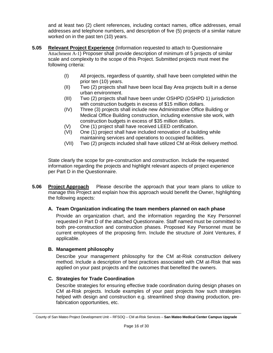and at least two (2) client references, including contact names, office addresses, email addresses and telephone numbers, and description of five (5) projects of a similar nature worked on in the past ten (10) years.

- **5.05 Relevant Project Experience** (Information requested to attach to Questionnaire Attachment A-1) Proposer shall provide description of minimum of 5 projects of similar scale and complexity to the scope of this Project. Submitted projects must meet the following criteria:
	- (I) All projects, regardless of quantity, shall have been completed within the prior ten (10) years.
	- (II) Two (2) projects shall have been local Bay Area projects built in a dense urban environment.
	- (III) Two (2) projects shall have been under OSHPD (OSHPD 1) jurisdiction with construction budgets in excess of \$15 million dollars.
	- (IV) Three (3) projects shall include new Administrative Office Building or Medical Office Building construction, including extensive site work, with construction budgets in excess of \$35 million dollars.
	- (V) One (1) project shall have received LEED certification.
	- (VI) One (1) project shall have included renovation of a building while maintaining services and operations to occupied facilities.
	- (VII) Two (2) projects included shall have utilized CM at-Risk delivery method.

State clearly the scope for pre-construction and construction. Include the requested information regarding the projects and highlight relevant aspects of project experience per Part D in the Questionnaire.

**5.06 Project Approach** Please describe the approach that your team plans to utilize to manage this Project and explain how this approach would benefit the Owner, highlighting the following aspects:

## **A. Team Organization indicating the team members planned on each phase**

Provide an organization chart, and the information regarding the Key Personnel requested in Part D of the attached Questionnaire. Staff named must be committed to both pre-construction and construction phases. Proposed Key Personnel must be current employees of the proposing firm. Include the structure of Joint Ventures, if applicable.

#### **B. Management philosophy**

Describe your management philosophy for the CM at-Risk construction delivery method. Include a description of best practices associated with CM at-Risk that was applied on your past projects and the outcomes that benefited the owners.

## **C. Strategies for Trade Coordination**

Describe strategies for ensuring effective trade coordination during design phases on CM at-Risk projects. Include examples of your past projects how such strategies helped with design and construction e.g. streamlined shop drawing production, prefabrication opportunities, etc.

County of San Mateo Project Development Unit – RFSOQ – CM at-Risk Services – **San Mateo Medical Center Campus Upgrade**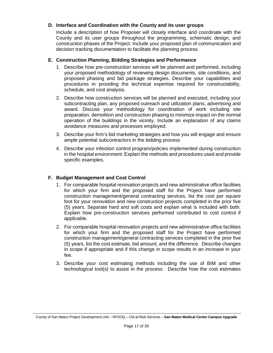## **D. Interface and Coordination with the County and its user groups**

Include a description of how Proposer will closely interface and coordinate with the County and its user groups throughout the programming, schematic design, and construction phases of the Project. Include your proposed plan of communication and decision tracking documentation to facilitate the planning process.

### **E. Construction Planning, Bidding Strategies and Performance**

- 1. Describe how pre-construction services will be planned and performed, including your proposed methodology of reviewing design documents, site conditions, and proposed phasing and bid package strategies. Describe your capabilities and procedures in providing the technical expertise required for constructability, schedule, and cost analysis.
- 2. Describe how construction services will be planned and executed, including your subcontracting plan, any proposed outreach and utilization plans, advertising and award. Discuss your methodology for coordination of work including site preparation, demolition and construction phasing to minimize impact on the normal operation of the buildings in the vicinity. Include an explanation of any claims avoidance measures and processes employed.
- 3. Describe your firm's bid marketing strategies and how you will engage and ensure ample potential subcontractors in the bidding process
- 4. Describe your infection control program/policies implemented during construction in the hospital environment. Explain the methods and procedures used and provide specific examples.

### **F. Budget Management and Cost Control**

- 1. For comparable hospital renovation projects and new administrative office facilities for which your firm and the proposed staff for the Project have performed construction management/general contracting services, list the cost per square foot for your renovation and new construction projects completed in the prior five (5) years. Separate hard and soft costs and explain what is included with both. Explain how pre-construction services performed contributed to cost control if applicable.
- 2. For comparable hospital renovation projects and new administrative office facilities for which your firm and the proposed staff for the Project have performed construction management/general contracting services completed in the prior five (5) years, list the cost estimate, bid amount, and the difference. Describe changes in scope if appropriate and if this change in scope results in an increase in your fee.
- 3. Describe your cost estimating methods including the use of BIM and other technological tool(s) to assist in the process. Describe how the cost estimates

County of San Mateo Project Development Unit – RFSOQ – CM at-Risk Services – **San Mateo Medical Center Campus Upgrade**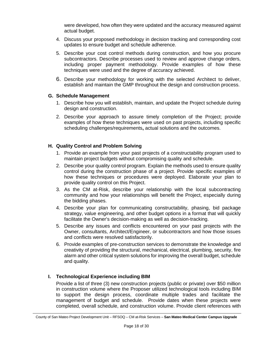were developed, how often they were updated and the accuracy measured against actual budget.

- 4. Discuss your proposed methodology in decision tracking and corresponding cost updates to ensure budget and schedule adherence.
- 5. Describe your cost control methods during construction, and how you procure subcontractors. Describe processes used to review and approve change orders, including proper payment methodology. Provide examples of how these techniques were used and the degree of accuracy achieved.
- 6. Describe your methodology for working with the selected Architect to deliver, establish and maintain the GMP throughout the design and construction process.

#### **G. Schedule Management**

- 1. Describe how you will establish, maintain, and update the Project schedule during design and construction.
- 2. Describe your approach to assure timely completion of the Project; provide examples of how these techniques were used on past projects, including specific scheduling challenges/requirements**,** actual solutions and the outcomes.

## **H. Quality Control and Problem Solving**

- 1. Provide an example from your past projects of a constructability program used to maintain project budgets without compromising quality and schedule.
- 2. Describe your quality control program. Explain the methods used to ensure quality control during the construction phase of a project. Provide specific examples of how these techniques or procedures were deployed. Elaborate your plan to provide quality control on this Project.
- 3. As the CM at-Risk, describe your relationship with the local subcontracting community and how your relationships will benefit the Project, especially during the bidding phases.
- 4. Describe your plan for communicating constructability, phasing, bid package strategy, value engineering, and other budget options in a format that will quickly facilitate the Owner's decision-making as well as decision-tracking.
- 5. Describe any issues and conflicts encountered on your past projects with the Owner, consultants, Architect/Engineer, or subcontractors and how those issues and conflicts were resolved satisfactorily.
- 6. Provide examples of pre-construction services to demonstrate the knowledge and creativity of providing the structural, mechanical, electrical, plumbing, security, fire alarm and other critical system solutions for improving the overall budget, schedule and quality.

## **I. Technological Experience including BIM**

Provide a list of three (3) new construction projects (public or private) over \$50 million in construction volume where the Proposer utilized technological tools including BIM to support the design process, coordinate multiple trades and facilitate the management of budget and schedule. Provide dates when these projects were completed, overall schedule, and construction volume. Provide client references with

County of San Mateo Project Development Unit – RFSOQ – CM at-Risk Services – **San Mateo Medical Center Campus Upgrade**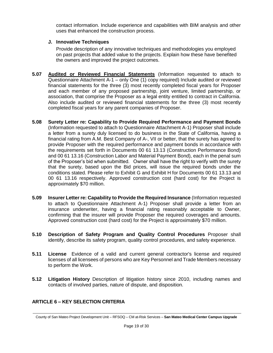contact information. Include experience and capabilities with BIM analysis and other uses that enhanced the construction process.

### **J. Innovative Techniques**

Provide description of any innovative techniques and methodologies you employed on past projects that added value to the projects. Explain how these have benefited the owners and improved the project outcomes.

- **5.07 Audited or Reviewed Financial Statements** (Information requested to attach to Questionnaire Attachment A-1 – only One (1) copy required) Include audited or reviewed financial statements for the three (3) most recently completed fiscal years for Proposer and each member of any proposed partnership, joint venture, limited partnership, or association, that comprise the Proposer as a legal entity entitled to contract in California. Also include audited or reviewed financial statements for the three (3) most recently completed fiscal years for any parent companies of Proposer.
- **5.08 Surety Letter re: Capability to Provide Required Performance and Payment Bonds** (Information requested to attach to Questionnaire Attachment A-1) Proposer shall include a letter from a surety duly licensed to do business in the State of California, having a financial rating from A.M. Best Company of A-, VII or better, that the surety has agreed to provide Proposer with the required performance and payment bonds in accordance with the requirements set forth in Documents 00 61 13.13 (Construction Performance Bond) and 00 61 13.16 (Construction Labor and Material Payment Bond), each in the penal sum of the Proposer's bid when submitted. Owner shall have the right to verify with the surety that the surety, based upon the Bid prices, will issue the required bonds under the conditions stated. Please refer to Exhibit G and Exhibit H for Documents 00 61 13.13 and 00 61 13.16 respectively. Approved construction cost (hard cost) for the Project is approximately \$70 million.
- **5.09 Insurer Letter re: Capability to Provide the Required Insurance** (Information requested to attach to Questionnaire Attachment A-1) Proposer shall provide a letter from an insurance underwriter, having a financial rating reasonably acceptable to Owner, confirming that the insurer will provide Proposer the required coverages and amounts. Approved construction cost (hard cost) for the Project is approximately \$70 million.
- **5.10 Description of Safety Program and Quality Control Procedures** Proposer shall identify, describe its safety program, quality control procedures, and safety experience.
- **5.11 License** Evidence of a valid and current general contractor's license and required licenses of all licensees of persons who are Key Personnel and Trade Members necessary to perform the Work.
- **5.12 Litigation History** Description of litigation history since 2010, including names and contacts of involved parties, nature of dispute, and disposition.

## **ARTICLE 6 – KEY SELECTION CRITERIA**

County of San Mateo Project Development Unit – RFSOQ – CM at-Risk Services – **San Mateo Medical Center Campus Upgrade**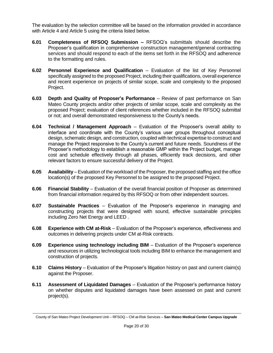The evaluation by the selection committee will be based on the information provided in accordance with Article 4 and Article 5 using the criteria listed below.

- **6.01 Completeness of RFSOQ Submission –** RFSOQ's submittals should describe the Proposer's qualification in comprehensive construction management/general contracting services and should respond to each of the items set forth in the RFSOQ and adherence to the formatting and rules.
- **6.02 Personnel Experience and Qualification** Evaluation of the list of Key Personnel specifically assigned to the proposed Project, including their qualifications, overall experience and recent experience on projects of similar scope, scale and complexity to the proposed Project.
- **6.03 Depth and Quality of Proposer's Performance** Review of past performance on San Mateo County projects and/or other projects of similar scope, scale and complexity as the proposed Project; evaluation of client references whether included in the RFSOQ submittal or not; and overall demonstrated responsiveness to the County's needs.
- **6.04 Technical / Management Approach** Evaluation of the Proposer's overall ability to interface and coordinate with the County's various user groups throughout conceptual design, schematic design, and construction, coupled with technical expertise to construct and manage the Project responsive to the County's current and future needs. Soundness of the Proposer's methodology to establish a reasonable GMP within the Project budget, manage cost and schedule effectively through all phases, efficiently track decisions, and other relevant factors to ensure successful delivery of the Project.
- **6.05 Availability**  Evaluation of the workload of the Proposer, the proposed staffing and the office location(s) of the proposed Key Personnel to be assigned to the proposed Project.
- **6.06 Financial Stability** Evaluation of the overall financial position of Proposer as determined from financial information required by this RFSOQ or from other independent sources.
- **6.07 Sustainable Practices** Evaluation of the Proposer's experience in managing and constructing projects that were designed with sound, effective sustainable principles including Zero Net Energy and LEED .
- **6.08 Experience with CM at-Risk** Evaluation of the Proposer's experience, effectiveness and outcomes in delivering projects under CM at-Risk contracts.
- **6.09 Experience using technology including BIM** Evaluation of the Proposer's experience and resources in utilizing technological tools including BIM to enhance the management and construction of projects.
- **6.10 Claims History** Evaluation of the Proposer's litigation history on past and current claim(s) against the Proposer.
- **6.11 Assessment of Liquidated Damages** Evaluation of the Proposer's performance history on whether disputes and liquidated damages have been assessed on past and current project(s).

County of San Mateo Project Development Unit – RFSOQ – CM at-Risk Services – **San Mateo Medical Center Campus Upgrade**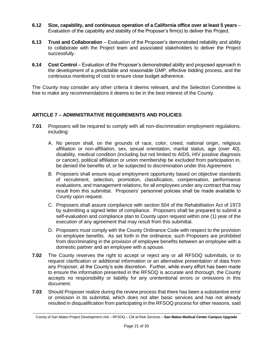- **6.12 Size, capability, and continuous operation of a California office over at least 5 years** Evaluation of the capability and stability of the Proposer's firm(s) to deliver this Project.
- **6.13 Trust and Collaboration** Evaluation of the Proposer's demonstrated reliability and ability to collaborate with the Project team and associated stakeholders to deliver the Project successfully.
- **6.14 Cost Control** Evaluation of the Proposer's demonstrated ability and proposed approach in the development of a predictable and reasonable GMP, effective bidding process, and the continuous monitoring of cost to ensure close budget adherence.

The County may consider any other criteria it deems relevant, and the Selection Committee is free to make any recommendations it deems to be in the best interest of the County.

## **ARTICLE 7 – ADMINISTRATIVE REQUIREMENTS AND POLICIES**

- **7.01** Proposers will be required to comply with all non-discrimination employment regulations, including:
	- A. No person shall, on the grounds of race, color, creed, national origin, religious affiliation or non-affiliation, sex, sexual orientation, marital status, age (over 40), disability, medical condition (including but not limited to AIDS, HIV positive diagnosis or cancer), political affiliation or union membership be excluded from participation in, be denied the benefits of, or be subjected to discrimination under this Agreement.
	- B. Proposers shall ensure equal employment opportunity based on objective standards of recruitment, selection, promotion, classification, compensation, performance evaluations, and management relations, for all employees under any contract that may result from this submittal. Proposers' personnel policies shall be made available to County upon request.
	- C. Proposers shall assure compliance with section 504 of the Rehabilitation Act of 1973 by submitting a signed letter of compliance. Proposers shall be prepared to submit a self-evaluation and compliance plan to County upon request within one (1) year of the execution of any agreement that may result from this submittal.
	- D. Proposers must comply with the County Ordinance Code with respect to the provision on employee benefits. As set forth in the ordinance, such Proposers are prohibited from discriminating in the provision of employee benefits between an employee with a domestic partner and an employee with a spouse.
- **7.02** The County reserves the right to accept or reject any or all RFSOQ submittals, or to request clarification or additional information or an alternative presentation of data from any Proposer, at the County's sole discretion. Further, while every effort has been made to ensure the information presented in the RFSOQ is accurate and thorough, the County accepts no responsibility or liability for any unintentional errors or omissions in this document.
- **7.03** Should Proposer realize during the review process that there has been a substantive error or omission in its submittal, which does not alter basic services and has not already resulted in disqualification from participating in the RFSOQ process for other reasons, said

County of San Mateo Project Development Unit – RFSOQ – CM at-Risk Services – **San Mateo Medical Center Campus Upgrade**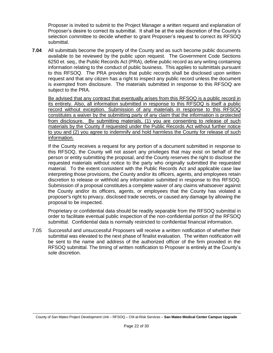Proposer is invited to submit to the Project Manager a written request and explanation of Proposer's desire to correct its submittal. It shall be at the sole discretion of the County's selection committee to decide whether to grant Proposer's request to correct its RFSOQ submittal.

**7.04** All submittals become the property of the County and as such become public documents available to be reviewed by the public upon request. The Government Code Sections 6250 et. seq., the Public Records Act (PRA), define public record as any writing containing information relating to the conduct of public business. This applies to submittals pursuant to this RFSOQ. The PRA provides that public records shall be disclosed upon written request and that any citizen has a right to inspect any public record unless the document is exempted from disclosure. The materials submitted in response to this RFSOQ are subject to the PRA.

Be advised that any contract that eventually arises from this RFSOQ is a public record in its entirety. Also, all information submitted in response to this RFSOQ is itself a public record without exception. Submission of any materials in response to this RFSOQ constitutes a waiver by the submitting party of any claim that the information is protected from disclosure. By submitting materials, (1) you are consenting to release of such materials by the County if requested under the Public Records Act without further notice to you and (2) you agree to indemnify and hold harmless the County for release of such information.

If the County receives a request for any portion of a document submitted in response to this RFSOQ, the County will not assert any privileges that may exist on behalf of the person or entity submitting the proposal, and the County reserves the right to disclose the requested materials without notice to the party who originally submitted the requested material. To the extent consistent with the Public Records Act and applicable case law interpreting those provisions, the County and/or its officers, agents, and employees retain discretion to release or withhold any information submitted in response to this RFSOQ. Submission of a proposal constitutes a complete waiver of any claims whatsoever against the County and/or its officers, agents, or employees that the County has violated a proposer's right to privacy, disclosed trade secrets, or caused any damage by allowing the proposal to be inspected.

Proprietary or confidential data should be readily separable from the RFSOQ submittal in order to facilitate eventual public inspection of the non-confidential portion of the RFSOQ submittal. Confidential data is normally restricted to confidential financial information.

7.05 Successful and unsuccessful Proposers will receive a written notification of whether their submittal was elevated to the next phase of finalist evaluation. The written notification will be sent to the name and address of the authorized officer of the firm provided in the RFSOQ submittal. The timing of written notification to Proposer is entirely at the County's sole discretion.

County of San Mateo Project Development Unit – RFSOQ – CM at-Risk Services – **San Mateo Medical Center Campus Upgrade**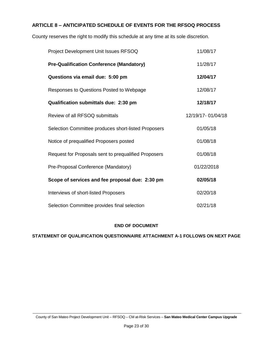## **ARTICLE 8 – ANTICIPATED SCHEDULE OF EVENTS FOR THE RFSOQ PROCESS**

County reserves the right to modify this schedule at any time at its sole discretion.

| Project Development Unit Issues RFSOQ                | 11/08/17          |
|------------------------------------------------------|-------------------|
| <b>Pre-Qualification Conference (Mandatory)</b>      | 11/28/17          |
| Questions via email due: 5:00 pm                     | 12/04/17          |
| Responses to Questions Posted to Webpage             | 12/08/17          |
| Qualification submittals due: 2:30 pm                | 12/18/17          |
| Review of all RFSOQ submittals                       | 12/19/17-01/04/18 |
| Selection Committee produces short-listed Proposers  | 01/05/18          |
| Notice of prequalified Proposers posted              | 01/08/18          |
| Request for Proposals sent to prequalified Proposers | 01/08/18          |
| Pre-Proposal Conference (Mandatory)                  | 01/22/2018        |
| Scope of services and fee proposal due: 2:30 pm      | 02/05/18          |
| Interviews of short-listed Proposers                 | 02/20/18          |
| Selection Committee provides final selection         | 02/21/18          |

#### **END OF DOCUMENT**

**STATEMENT OF QUALIFICATION QUESTIONNAIRE ATTACHMENT A-1 FOLLOWS ON NEXT PAGE**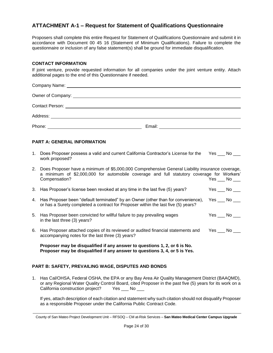## **ATTACHMENT A-1 – Request for Statement of Qualifications Questionnaire**

Proposers shall complete this entire Request for Statement of Qualifications Questionnaire and submit it in accordance with Document 00 45 16 (Statement of Minimum Qualifications). Failure to complete the questionnaire or inclusion of any false statement(s) shall be ground for immediate disqualification.

#### **CONTACT INFORMATION**

If joint venture, provide requested information for all companies under the joint venture entity. Attach additional pages to the end of this Questionnaire if needed.

| Company Name: <u>company Name:</u> company Name: company Name: company Name: company name of the company of the company |                                                         |
|-------------------------------------------------------------------------------------------------------------------------|---------------------------------------------------------|
|                                                                                                                         |                                                         |
|                                                                                                                         |                                                         |
|                                                                                                                         |                                                         |
| Phone:                                                                                                                  | Email:<br><u> 1980 - Andrea Andrew Maria (h. 1980).</u> |

#### **PART A: GENERAL INFORMATION**

- 1. Does Proposer possess a valid and current California Contractor's License for the Yes No work proposed?
- 2. Does Proposer have a minimum of \$5,000,000 Comprehensive General Liability insurance coverage, a minimum of \$2,000,000 for automobile coverage and full statutory coverage for Workers' Compensation? The compensation of the compensation of the compensation of the compensation of the compensation of the compensation of the compensation of the compensation of the compensation of the compensation of the comp
- 3. Has Proposer's license been revoked at any time in the last five  $(5)$  years? Yes  $\Box$  No  $\Box$
- 4. Has Proposer been "default terminated" by an Owner (other than for convenience), Yes No or has a Surety completed a contract for Proposer within the last five (5) years?
- 5. Has Proposer been convicted for willful failure to pay prevailing wages Yes No in the last three (3) years?
- 6. Has Proposer attached copies of its reviewed or audited financial statements and Yes No accompanying notes for the last three (3) years?

**Proposer may be disqualified if any answer to questions 1, 2, or 6 is No. Proposer may be disqualified if any answer to questions 3, 4, or 5 is Yes.**

#### **PART B: SAFETY, PREVAILING WAGE, DISPUTES AND BONDS**

1. Has Cal/OHSA, Federal OSHA, the EPA or any Bay Area Air Quality Management District (BAAQMD), or any Regional Water Quality Control Board, cited Proposer in the past five (5) years for its work on a California construction project? Yes No

If yes, attach description of each citation and statement why such citation should not disqualify Proposer as a responsible Proposer under the California Public Contract Code.

County of San Mateo Project Development Unit – RFSOQ – CM at-Risk Services – **San Mateo Medical Center Campus Upgrade**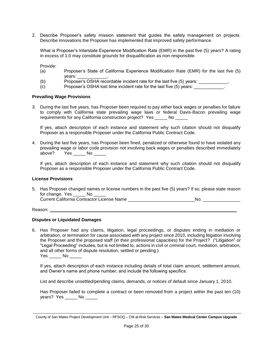2. Describe Proposer's safety mission statement that guides the safety management on projects. Describe innovations the Proposer has implemented that improved safety performance.

What is Proposer's Interstate Experience Modification Rate (EMR) in the past five (5) years? A rating in excess of 1.0 may constitute grounds for disqualification as non-responsible.

Provide:

- (a) Proposer's State of California Experience Modification Rate (EMR) for the last five (5) vears:
- (b) Proposer's OSHA recordable incident rate for the last five  $(5)$  years:
- (c) Proposer's OSHA lost time incident rate for the last five (5) years:

#### **Prevailing Wage Provisions**

3. During the last five years, has Proposer been required to pay either back wages or penalties for failure to comply with California state prevailing wage laws or federal Davis-Bacon prevailing wage requirements for any California construction project? Yes \_\_\_\_\_ No

If yes, attach description of each instance and statement why such citation should not disqualify Proposer as a responsible Proposer under the California Public Contract Code.

4. During the last five years, has Proposer been fined, penalized or otherwise found to have violated any prevailing wage or labor code provision not involving back wages or penalties described immediately above? Yes No

If yes, attach description of each instance and statement why such citation should not disqualify Proposer as a responsible Proposer under the California Public Contract Code.

#### **License Provisions**

5. Has Proposer changed names or license numbers in the past five (5) years? If so, please state reason for change. Yes \_\_\_\_\_ No Current California Contractor License Name \_\_\_\_\_\_\_\_\_\_\_\_\_\_\_\_\_\_\_\_\_\_\_\_\_\_\_\_\_\_\_No.

Reason: **Example 20** No. 2014 12:20:20 No. 2014 12:20:20 No. 2014 12:20:20 No. 2014 12:20:20 No. 2014 12:20:20

#### **Disputes or Liquidated Damages**

6. Has Proposer had any claims, litigation, legal proceedings, or disputes ending in mediation or arbitration, or termination for cause associated with any project since 2010, including litigation involving the Proposer and the proposed staff (in their professional capacities) for the Project? ("Litigation" or "Legal Proceeding" includes, but is not limited to, actions in civil or criminal court, mediation, arbitration, and all other forms of dispute resolution, settled or pending.) Yes No No

If yes, attach description of each instance including details of total claim amount, settlement amount, and Owner's name and phone number, and include the following specifics:

List and describe unsettled/pending claims, demands, or notices of default since January 1, 2010.

Has Proposer failed to complete a contract or been removed from a project within the past ten (10) years? Yes \_\_\_\_ No

County of San Mateo Project Development Unit – RFSOQ – CM at-Risk Services – **San Mateo Medical Center Campus Upgrade**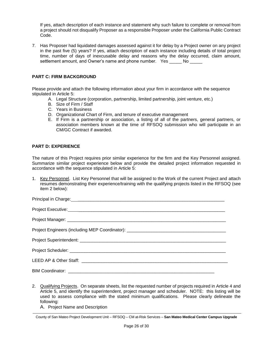If yes, attach description of each instance and statement why such failure to complete or removal from a project should not disqualify Proposer as a responsible Proposer under the California Public Contract Code.

7. Has Proposer had liquidated damages assessed against it for delay by a Project owner on any project in the past five (5) years? If yes, attach description of each instance including details of total project time, number of days of inexcusable delay and reasons why the delay occurred, claim amount, settlement amount, and Owner's name and phone number. Yes \_\_\_\_\_ No \_\_

#### **PART C: FIRM BACKGROUND**

Please provide and attach the following information about your firm in accordance with the sequence stipulated in Article 5:

- A. Legal Structure (corporation, partnership, limited partnership, joint venture, etc.)
- B. Size of Firm / Staff
- C. Years in Business
- D. Organizational Chart of Firm, and tenure of executive management
- E. If Firm is a partnership or association, a listing of all of the partners, general partners, or association members known at the time of RFSOQ submission who will participate in an CM/GC Contract if awarded.

#### **PART D: EXPERIENCE**

The nature of this Project requires prior similar experience for the firm and the Key Personnel assigned. Summarize similar project experience below and provide the detailed project information requested in accordance with the sequence stipulated in Article 5:

1. Key Personnel. List Key Personnel that will be assigned to the Work of the current Project and attach resumes demonstrating their experience/training with the qualifying projects listed in the RFSOQ (see item 2 below):

| Principal in Charge: <u>contract and contract and contract and contract and contract and contract and contract and contract and contract and contract and contract and contract and contract and contract and contract and contr</u> |  |
|--------------------------------------------------------------------------------------------------------------------------------------------------------------------------------------------------------------------------------------|--|
|                                                                                                                                                                                                                                      |  |
|                                                                                                                                                                                                                                      |  |
| Project Engineers (including MEP Coordinator): __________________________________                                                                                                                                                    |  |
|                                                                                                                                                                                                                                      |  |
|                                                                                                                                                                                                                                      |  |
|                                                                                                                                                                                                                                      |  |
|                                                                                                                                                                                                                                      |  |

- 2. Qualifying Projects.On separate sheets, list the requested number of projects required in Article 4 and Article 5, and identify the superintendent, project manager and scheduler. NOTE: this listing will be used to assess compliance with the stated minimum qualifications. Please clearly delineate the following:
	- A. Project Name and Description

County of San Mateo Project Development Unit – RFSOQ – CM at-Risk Services – **San Mateo Medical Center Campus Upgrade**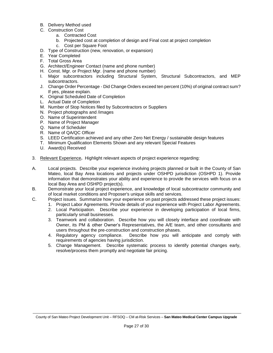- B. Delivery Method used
- C. Construction Cost
	- a. Contracted Cost
	- b. Projected cost at completion of design and Final cost at project completion
	- c. Cost per Square Foot
- D. Type of Construction (new, renovation, or expansion)
- E. Year Completed
- F. Total Gross Area
- G. Architect/Engineer Contact (name and phone number)
- H. Const. Mgr. or Project Mgr. (name and phone number)
- I. Major subcontractors including Structural System, Structural Subcontractors, and MEP subcontractors.
- J. Change Order Percentage Did Change Orders exceed ten percent (10%) of original contract sum? If yes, please explain.
- K. Original Scheduled Date of Completion
- L. Actual Date of Completion
- M. Number of Stop Notices filed by Subcontractors or Suppliers
- N. Project photographs and /images
- O. Name of Superintendent
- P. Name of Project Manager
- Q. Name of Scheduler
- R. Name of QA/QC Officer
- S. LEED Certification achieved and any other Zero Net Energy / sustainable design features
- T. Minimum Qualification Elements Shown and any relevant Special Features
- U. Award(s) Received
- 3. Relevant Experience**.** Highlight relevant aspects of project experience regarding:
- A. Local projects. Describe your experience involving projects planned or built in the County of San Mateo, local Bay Area locations and projects under OSHPD jurisdiction (OSHPD 1). Provide information that demonstrates your ability and experience to provide the services with focus on a local Bay Area and OSHPD project(s).
- B. Demonstrate your local project experience, and knowledge of local subcontractor community and of local market conditions and Proposer's unique skills and services.
- C. Project issues. Summarize how your experience on past projects addressed these project issues: 1. Project Labor Agreements. Provide details of your experience with Project Labor Agreements.
	- 2. Local Participation. Describe your experience in developing participation of local firms, particularly small businesses.
	- 3. Teamwork and collaboration. Describe how you will closely interface and coordinate with Owner, its PM & other Owner's Representatives, the A/E team, and other consultants and users throughout the pre-construction and construction phases.
	- 4. Regulatory agency compliance. Describe how you will anticipate and comply with requirements of agencies having jurisdiction.
	- 5. Change Management. Describe systematic process to identify potential changes early, resolve/process them promptly and negotiate fair pricing.

County of San Mateo Project Development Unit – RFSOQ – CM at-Risk Services – **San Mateo Medical Center Campus Upgrade**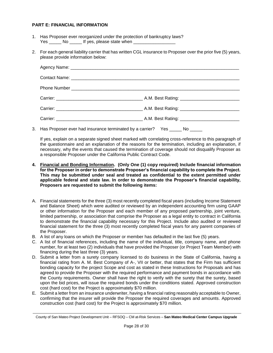#### **PART E: FINANCIAL INFORMATION**

- 1. Has Proposer ever reorganized under the protection of bankruptcy laws? Yes \_\_\_\_\_\_ No \_\_\_\_\_\_ If yes, please state when
- 2. For each general liability carrier that has written CGL insurance to Proposer over the prior five (5) years, please provide information below:

| 3. Has Proposer ever had insurance terminated by a carrier? Yes _____ | No. |
|-----------------------------------------------------------------------|-----|

If yes, explain on a separate signed sheet marked with correlating cross-reference to this paragraph of the questionnaire and an explanation of the reasons for the termination, including an explanation, if necessary, why the events that caused the termination of coverage should not disqualify Proposer as a responsible Proposer under the California Public Contract Code.

- **4. Financial and Bonding Information. (Only One (1) copy required) Include financial information for the Proposer in order to demonstrate Proposer's financial capability to complete the Project. This may be submitted under seal and treated as confidential to the extent permitted under applicable federal and state law. In order to demonstrate the Proposer's financial capability, Proposers are requested to submit the following items:**
- A. Financial statements for the three (3) most recently completed fiscal years (including Income Statement and Balance Sheet) which were audited or reviewed by an independent accounting firm using GAAP or other information for the Proposer and each member of any proposed partnership, joint venture, limited partnership, or association that comprise the Proposer as a legal entity to contract in California to demonstrate the financial capability necessary for this Project. Include also audited or reviewed financial statement for the three (3) most recently completed fiscal years for any parent companies of the Proposer.
- B. A list of any loans on which the Proposer or member has defaulted in the last five (5) years.
- C. A list of financial references, including the name of the individual, title, company name, and phone number, for at least two (2) individuals that have provided the Proposer (or Project Team Member) with financing during the last three (3) years.
- D. Submit a letter from a surety company licensed to do business in the State of California, having a financial rating from A. M. Best Company of A-, VII or better, that states that the Firm has sufficient bonding capacity for the project Scope and cost as stated in these Instructions for Proposals and has agreed to provide the Proposer with the required performance and payment bonds in accordance with the County requirements. Owner shall have the right to verify with the surety that the surety, based upon the bid prices, will issue the required bonds under the conditions stated. Approved construction cost (hard cost) for the Project is approximately \$70 million.
- E. Submit a letter from an insurance underwriter, having a financial rating reasonably acceptable to Owner, confirming that the insurer will provide the Proposer the required coverages and amounts. Approved construction cost (hard cost) for the Project is approximately \$70 million.

County of San Mateo Project Development Unit – RFSOQ – CM at-Risk Services – **San Mateo Medical Center Campus Upgrade**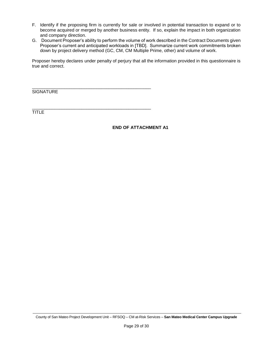- F. Identify if the proposing firm is currently for sale or involved in potential transaction to expand or to become acquired or merged by another business entity. If so, explain the impact in both organization and company direction.
- G. Document Proposer's ability to perform the volume of work described in the Contract Documents given Proposer's current and anticipated workloads in [TBD]. Summarize current work commitments broken down by project delivery method (GC, CM, CM Multiple Prime, other) and volume of work.

Proposer hereby declares under penalty of perjury that all the information provided in this questionnaire is true and correct.

\_\_\_\_\_\_\_\_\_\_\_\_\_\_\_\_\_\_\_\_\_\_\_\_\_\_\_\_\_\_\_\_\_\_\_\_\_\_\_\_\_\_\_\_\_\_\_\_ **SIGNATURE** 

\_\_\_\_\_\_\_\_\_\_\_\_\_\_\_\_\_\_\_\_\_\_\_\_\_\_\_\_\_\_\_\_\_\_\_\_\_\_\_\_\_\_\_\_\_\_\_\_ **TITLE** 

**END OF ATTACHMENT A1**

County of San Mateo Project Development Unit – RFSOQ – CM at-Risk Services – **San Mateo Medical Center Campus Upgrade**